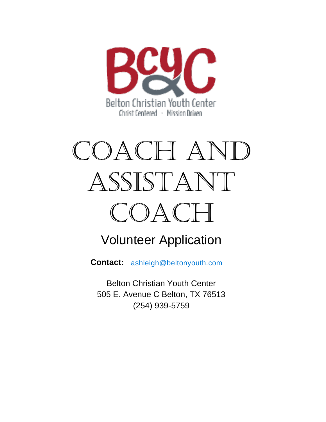

# COACH AND ASSISTANT COACH

# Volunteer Application

**Contact:** ashleigh@beltonyouth.com

Belton Christian Youth Center 505 E. Avenue C Belton, TX 76513 (254) 939-5759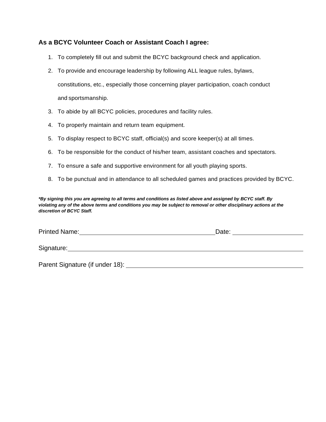## **As a BCYC Volunteer Coach or Assistant Coach I agree:**

- 1. To completely fill out and submit the BCYC background check and application.
- 2. To provide and encourage leadership by following ALL league rules, bylaws, constitutions, etc., especially those concerning player participation, coach conduct and sportsmanship.
- 3. To abide by all BCYC policies, procedures and facility rules.
- 4. To properly maintain and return team equipment.
- 5. To display respect to BCYC staff, official(s) and score keeper(s) at all times.
- 6. To be responsible for the conduct of his/her team, assistant coaches and spectators.
- 7. To ensure a safe and supportive environment for all youth playing sports.
- 8. To be punctual and in attendance to all scheduled games and practices provided by BCYC.

*\*By signing this you are agreeing to all terms and conditions as listed above and assigned by BCYC staff. By violating any of the above terms and conditions you may be subject to removal or other disciplinary actions at the discretion of BCYC Staff.*

| <b>Printed Name:</b> | )ate: |  |
|----------------------|-------|--|
|                      |       |  |

Signature: experience of the state of the state of the state of the state of the state of the state of the state of the state of the state of the state of the state of the state of the state of the state of the state of th

Parent Signature (if under 18):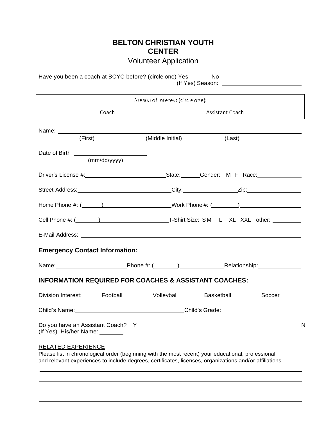# **BELTON CHRISTIAN YOUTH CENTER**

Volunteer Application

Have you been a coach at BCYC before? (circle one) Yes No (If Yes) Season:

| $Area(s)$ of $n$ therest (circle one):                                                                                                                                                                                              |                                             |        |  |  |  |
|-------------------------------------------------------------------------------------------------------------------------------------------------------------------------------------------------------------------------------------|---------------------------------------------|--------|--|--|--|
| Coach                                                                                                                                                                                                                               | Assistant Coach                             |        |  |  |  |
| (First)                                                                                                                                                                                                                             | (Middle Initial)                            | (Last) |  |  |  |
| (mm/dd/yyyy)                                                                                                                                                                                                                        |                                             |        |  |  |  |
|                                                                                                                                                                                                                                     |                                             |        |  |  |  |
| Street Address: _______________________________City: __________________Zip: ________________________                                                                                                                                |                                             |        |  |  |  |
|                                                                                                                                                                                                                                     |                                             |        |  |  |  |
|                                                                                                                                                                                                                                     |                                             |        |  |  |  |
| E-Mail Address: No. 2006. The Contract of the Contract of the Contract of the Contract of the Contract of the Contract of the Contract of the Contract of the Contract of the Contract of the Contract of the Contract of the       |                                             |        |  |  |  |
| <b>Emergency Contact Information:</b>                                                                                                                                                                                               |                                             |        |  |  |  |
| Name: Name: Name: Name: Name: Name: Name: Name: Name: Name: Name: Name: Name: Name: Name: Name: Name: Name: Name: Name: Name: Name: Name: Name: Name: Name: Name: Name: Name: Name: Name: Name: Name: Name: Name: Name: Name:       |                                             |        |  |  |  |
| <b>INFORMATION REQUIRED FOR COACHES &amp; ASSISTANT COACHES:</b>                                                                                                                                                                    |                                             |        |  |  |  |
| Division Interest: _____Football ______Volleyball ______Basketball _______Soccer                                                                                                                                                    |                                             |        |  |  |  |
|                                                                                                                                                                                                                                     | Child's Name: Child's Grade: Child's Grade: |        |  |  |  |
| Do you have an Assistant Coach? Y<br>(If Yes) His/her Name:                                                                                                                                                                         |                                             | N      |  |  |  |
| RELATED EXPERIENCE<br>Please list in chronological order (beginning with the most recent) your educational, professional<br>and relevant experiences to include degrees, certificates, licenses, organizations and/or affiliations. |                                             |        |  |  |  |